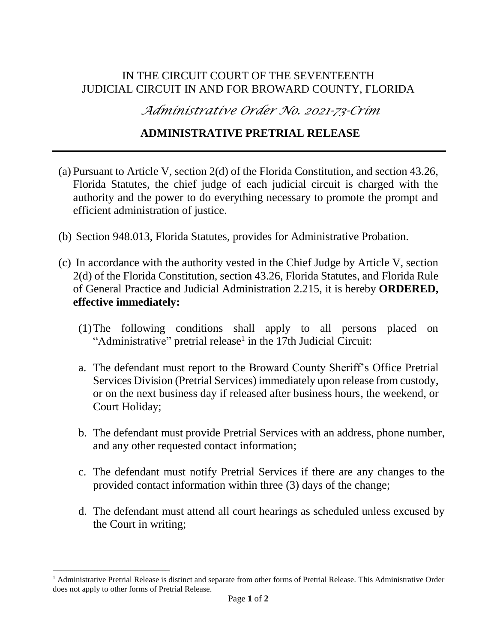## IN THE CIRCUIT COURT OF THE SEVENTEENTH JUDICIAL CIRCUIT IN AND FOR BROWARD COUNTY, FLORIDA

*Administrative Order No. 2021-73-Crim*

## **ADMINISTRATIVE PRETRIAL RELEASE**

- (a) Pursuant to Article V, section 2(d) of the Florida Constitution, and section 43.26, Florida Statutes, the chief judge of each judicial circuit is charged with the authority and the power to do everything necessary to promote the prompt and efficient administration of justice.
- (b) Section 948.013, Florida Statutes, provides for Administrative Probation.
- (c) In accordance with the authority vested in the Chief Judge by Article V, section 2(d) of the Florida Constitution, section 43.26, Florida Statutes, and Florida Rule of General Practice and Judicial Administration 2.215, it is hereby **ORDERED, effective immediately:**
	- (1)The following conditions shall apply to all persons placed on "Administrative" pretrial release<sup>1</sup> in the 17th Judicial Circuit:
	- a. The defendant must report to the Broward County Sheriff's Office Pretrial Services Division (Pretrial Services) immediately upon release from custody, or on the next business day if released after business hours, the weekend, or Court Holiday;
	- b. The defendant must provide Pretrial Services with an address, phone number, and any other requested contact information;
	- c. The defendant must notify Pretrial Services if there are any changes to the provided contact information within three (3) days of the change;
	- d. The defendant must attend all court hearings as scheduled unless excused by the Court in writing;

l

 $<sup>1</sup>$  Administrative Pretrial Release is distinct and separate from other forms of Pretrial Release. This Administrative Order</sup> does not apply to other forms of Pretrial Release.